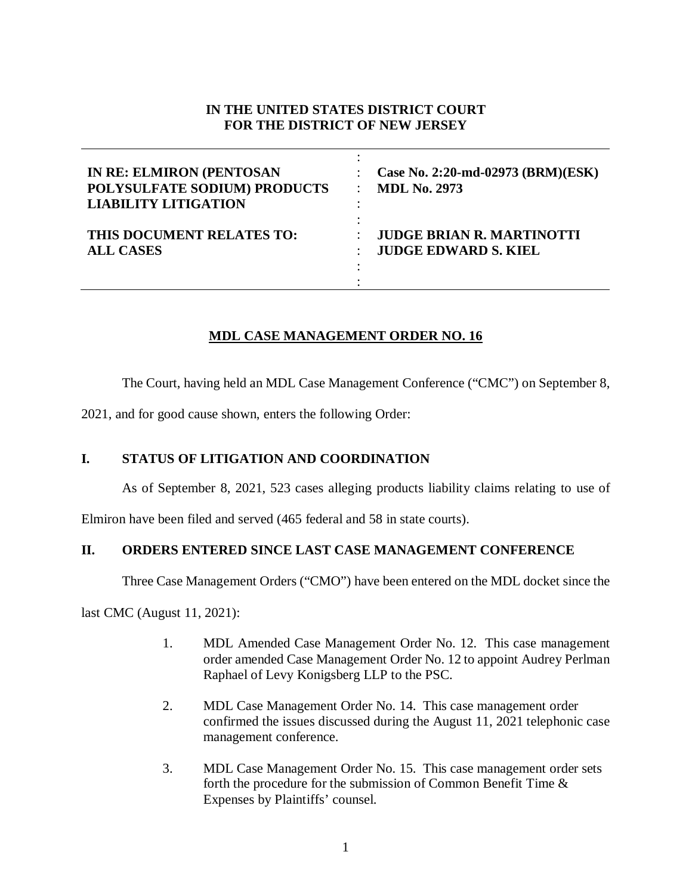### **IN THE UNITED STATES DISTRICT COURT FOR THE DISTRICT OF NEW JERSEY**

| <b>IN RE: ELMIRON (PENTOSAN</b><br>POLYSULFATE SODIUM) PRODUCTS<br><b>LIABILITY LITIGATION</b> | Case No. 2:20-md-02973 (BRM)(ESK)<br><b>MDL No. 2973</b> |
|------------------------------------------------------------------------------------------------|----------------------------------------------------------|
| THIS DOCUMENT RELATES TO:                                                                      | <b>JUDGE BRIAN R. MARTINOTTI</b>                         |
| <b>ALL CASES</b>                                                                               | <b>JUDGE EDWARD S. KIEL</b>                              |

# **MDL CASE MANAGEMENT ORDER NO. 16**

The Court, having held an MDL Case Management Conference ("CMC") on September 8,

2021, and for good cause shown, enters the following Order:

# **I. STATUS OF LITIGATION AND COORDINATION**

As of September 8, 2021, 523 cases alleging products liability claims relating to use of

Elmiron have been filed and served (465 federal and 58 in state courts).

# **II. ORDERS ENTERED SINCE LAST CASE MANAGEMENT CONFERENCE**

Three Case Management Orders ("CMO") have been entered on the MDL docket since the

last CMC (August 11, 2021):

- 1. MDL Amended Case Management Order No. 12. This case management order amended Case Management Order No. 12 to appoint Audrey Perlman Raphael of Levy Konigsberg LLP to the PSC.
- 2. MDL Case Management Order No. 14. This case management order confirmed the issues discussed during the August 11, 2021 telephonic case management conference.
- 3. MDL Case Management Order No. 15. This case management order sets forth the procedure for the submission of Common Benefit Time & Expenses by Plaintiffs' counsel.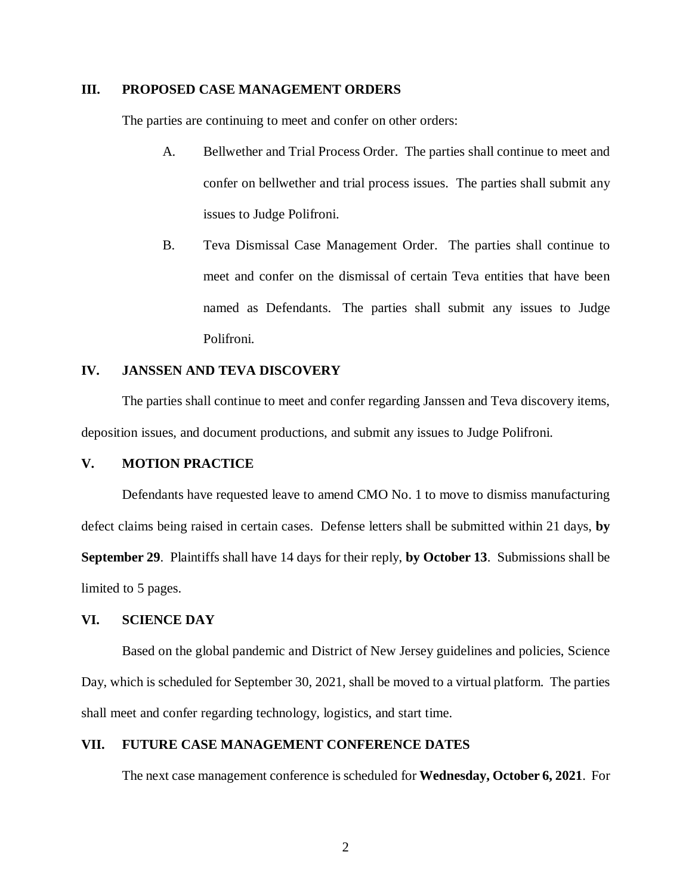#### **III. PROPOSED CASE MANAGEMENT ORDERS**

The parties are continuing to meet and confer on other orders:

- A. Bellwether and Trial Process Order. The parties shall continue to meet and confer on bellwether and trial process issues. The parties shall submit any issues to Judge Polifroni.
- B. Teva Dismissal Case Management Order. The parties shall continue to meet and confer on the dismissal of certain Teva entities that have been named as Defendants. The parties shall submit any issues to Judge Polifroni.

#### **IV. JANSSEN AND TEVA DISCOVERY**

The parties shall continue to meet and confer regarding Janssen and Teva discovery items, deposition issues, and document productions, and submit any issues to Judge Polifroni.

### **V. MOTION PRACTICE**

Defendants have requested leave to amend CMO No. 1 to move to dismiss manufacturing defect claims being raised in certain cases. Defense letters shall be submitted within 21 days, **by September 29**. Plaintiffs shall have 14 days for their reply, **by October 13**. Submissions shall be limited to 5 pages.

#### **VI. SCIENCE DAY**

Based on the global pandemic and District of New Jersey guidelines and policies, Science Day, which is scheduled for September 30, 2021, shall be moved to a virtual platform. The parties shall meet and confer regarding technology, logistics, and start time.

### **VII. FUTURE CASE MANAGEMENT CONFERENCE DATES**

The next case management conference is scheduled for **Wednesday, October 6, 2021**. For